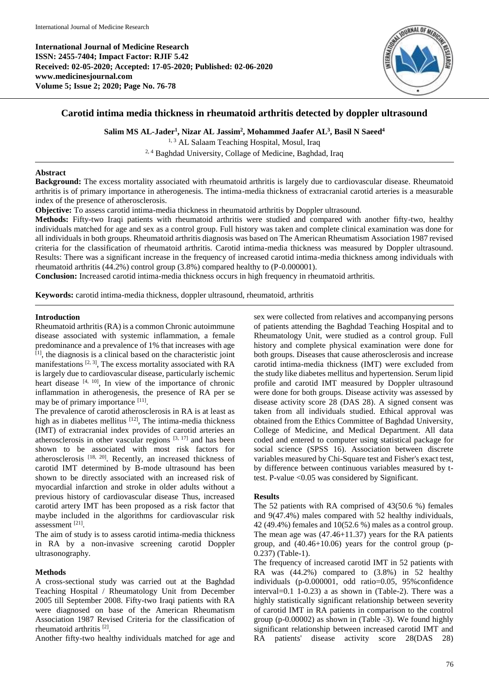**International Journal of Medicine Research ISSN: 2455-7404; Impact Factor: RJIF 5.42 Received: 02-05-2020; Accepted: 17-05-2020; Published: 02-06-2020 www.medicinesjournal.com Volume 5; Issue 2; 2020; Page No. 76-78**



# **Carotid intima media thickness in rheumatoid arthritis detected by doppler ultrasound**

**Salim MS AL-Jader<sup>1</sup> , Nizar AL Jassim<sup>2</sup> , Mohammed Jaafer AL<sup>3</sup> , Basil N Saeed<sup>4</sup>**

<sup>1, 3</sup> AL Salaam Teaching Hospital, Mosul, Iraq 2, 4 Baghdad University, Collage of Medicine, Baghdad, Iraq

### **Abstract**

**Background:** The excess mortality associated with rheumatoid arthritis is largely due to cardiovascular disease. Rheumatoid arthritis is of primary importance in atherogenesis. The intima-media thickness of extracranial carotid arteries is a measurable index of the presence of atherosclerosis.

**Objective:** To assess carotid intima-media thickness in rheumatoid arthritis by Doppler ultrasound.

**Methods:** Fifty-two Iraqi patients with rheumatoid arthritis were studied and compared with another fifty-two, healthy individuals matched for age and sex as a control group. Full history was taken and complete clinical examination was done for all individuals in both groups. Rheumatoid arthritis diagnosis was based on The American Rheumatism Association 1987 revised criteria for the classification of rheumatoid arthritis. Carotid intima-media thickness was measured by Doppler ultrasound. Results: There was a significant increase in the frequency of increased carotid intima-media thickness among individuals with rheumatoid arthritis (44.2%) control group (3.8%) compared healthy to (P-0.000001).

**Conclusion:** Increased carotid intima-media thickness occurs in high frequency in rheumatoid arthritis.

**Keywords:** carotid intima-media thickness, doppler ultrasound, rheumatoid, arthritis

#### **Introduction**

Rheumatoid arthritis (RA) is a common Chronic autoimmune disease associated with systemic inflammation, a female predominance and a prevalence of 1% that increases with age [1] , the diagnosis is a clinical based on the characteristic joint manifestations  $[2, 3]$ , The excess mortality associated with RA is largely due to cardiovascular disease, particularly ischemic heart disease  $[4, 10]$ , In view of the importance of chronic inflammation in atherogenesis, the presence of RA per se may be of primary importance [11].

The prevalence of carotid atherosclerosis in RA is at least as high as in diabetes mellitus  $[12]$ , The intima-media thickness (IMT) of extracranial index provides of carotid arteries an atherosclerosis in other vascular regions  $[3, 17]$  and has been shown to be associated with most risk factors for atherosclerosis [18, 20]. Recently, an increased thickness of carotid IMT determined by B-mode ultrasound has been shown to be directly associated with an increased risk of myocardial infarction and stroke in older adults without a previous history of cardiovascular disease Thus, increased carotid artery IMT has been proposed as a risk factor that maybe included in the algorithms for cardiovascular risk assessment [21] .

The aim of study is to assess carotid intima-media thickness in RA by a non-invasive screening carotid Doppler ultrasonography.

### **Methods**

A cross-sectional study was carried out at the Baghdad Teaching Hospital / Rheumatology Unit from December 2005 till September 2008. Fifty-two Iraqi patients with RA were diagnosed on base of the American Rheumatism Association 1987 Revised Criteria for the classification of rheumatoid arthritis [2] .

Another fifty-two healthy individuals matched for age and

sex were collected from relatives and accompanying persons of patients attending the Baghdad Teaching Hospital and to Rheumatology Unit, were studied as a control group. Full history and complete physical examination were done for both groups. Diseases that cause atherosclerosis and increase carotid intima-media thickness (IMT) were excluded from the study like diabetes mellitus and hypertension. Serum lipid profile and carotid IMT measured by Doppler ultrasound were done for both groups. Disease activity was assessed by disease activity score 28 (DAS 28). A signed consent was taken from all individuals studied. Ethical approval was obtained from the Ethics Committee of Baghdad University, College of Medicine, and Medical Department. All data coded and entered to computer using statistical package for social science (SPSS 16). Association between discrete variables measured by Chi-Square test and Fisher's exact test, by difference between continuous variables measured by ttest. P-value <0.05 was considered by Significant.

### **Results**

The 52 patients with RA comprised of 43(50.6 %) females and 9(47.4%) males compared with 52 healthy individuals, 42 (49.4%) females and 10(52.6 %) males as a control group. The mean age was (47.46+11.37) years for the RA patients group, and (40.46+10.06) years for the control group (p-0.237) (Table-1).

The frequency of increased carotid IMT in 52 patients with RA was (44.2%) compared to (3.8%) in 52 healthy individuals (p-0.000001, odd ratio=0.05, 95%confidence interval=0.1 1-0.23) a as shown in (Table-2). There was a highly statistically significant relationship between severity of carotid IMT in RA patients in comparison to the control group (p-0.00002) as shown in (Table -3). We found highly significant relationship between increased carotid IMT and RA patients' disease activity score 28(DAS 28)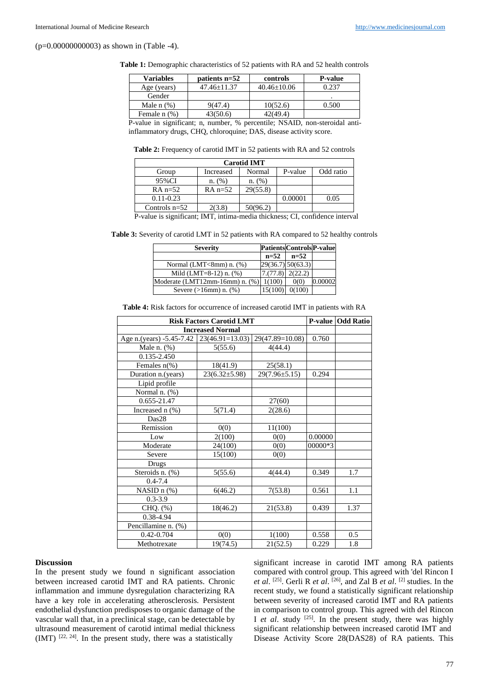(p=0.00000000003) as shown in (Table -4).

**Table 1:** Demographic characteristics of 52 patients with RA and 52 health controls

| <b>Variables</b>  | $\alpha$ patients n=52<br>controls |                   | <b>P-value</b> |  |
|-------------------|------------------------------------|-------------------|----------------|--|
| Age (years)       | $47.46 + 11.37$                    | $40.46 \pm 10.06$ | 0.237          |  |
| Gender            |                                    |                   |                |  |
| Male $n$ $(\%)$   | 9(47.4)                            | 10(52.6)          | 0.500          |  |
| Female $n$ $(\%)$ | 43(50.6)                           | 42(49.4)          |                |  |

P-value in significant; n, number, % percentile; NSAID, non-steroidal antiinflammatory drugs, CHQ, chloroquine; DAS, disease activity score.

**Table 2:** Frequency of carotid IMT in 52 patients with RA and 52 controls

|     | <b>Carotid IMT</b> |           |          |         |           |  |
|-----|--------------------|-----------|----------|---------|-----------|--|
|     | Group              | Increased | Normal   | P-value | Odd ratio |  |
|     | 95%CI              | n. (%)    | n. (%)   |         |           |  |
|     | $RA n=52$          | $RA n=52$ | 29(55.8) |         |           |  |
|     | $0.11 - 0.23$      |           |          | 0.00001 | 0.05      |  |
|     | Controls $n=52$    | 2(3.8)    | 50(96.2) |         |           |  |
| $-$ | .                  | -- -- - - | .        | $-$     | $-$       |  |

P-value is significant; IMT, intima-media thickness; CI, confidence interval

| <b>Table 3:</b> Severity of carotid LMT in 52 patients with RA compared to 52 healthy controls |  |  |
|------------------------------------------------------------------------------------------------|--|--|
|                                                                                                |  |  |

| <b>Severity</b>                |                    | <b>Patients Controls P-value</b> |         |
|--------------------------------|--------------------|----------------------------------|---------|
|                                | $n=52$             | $n=52$                           |         |
| Normal (LMT<8mm) $n.$ (%)      |                    | $29(36.7)$ 50(63.3)              |         |
| Mild $(LMT=8-12)$ n. $(\%)$    | $7.(77.8)$ 2(22.2) |                                  |         |
| Moderate (LMT12mm-16mm) n. (%) | 1(100)             | 0(0)                             | 0.00002 |
| Severe $(>16$ mm $)$ n. $(%)$  | 15(100)            | 0(100)                           |         |

**Table 4:** Risk factors for occurrence of increased carotid IMT in patients with RA

| <b>Risk Factors Carotid LMT</b>            |                     |                     |         | P-value   Odd Ratio |
|--------------------------------------------|---------------------|---------------------|---------|---------------------|
| <b>Increased Normal</b>                    |                     |                     |         |                     |
| Age n.(years) -5.45-7.42   23(46.91=13.03) |                     | 29(47.89=10.08)     | 0.760   |                     |
| Male n. (%)                                | 5(55.6)             | 4(44.4)             |         |                     |
| 0.135-2.450                                |                     |                     |         |                     |
| Females $n$ <sup>(%)</sup>                 | 18(41.9)            | 25(58.1)            |         |                     |
| Duration n.(years)                         | $23(6.32 \pm 5.98)$ | $29(7.96 \pm 5.15)$ | 0.294   |                     |
| Lipid profile                              |                     |                     |         |                     |
| Normal n. (%)                              |                     |                     |         |                     |
| 0.655-21.47                                |                     | 27(60)              |         |                     |
| Increased n (%)                            | 5(71.4)             | 2(28.6)             |         |                     |
| Das28                                      |                     |                     |         |                     |
| Remission                                  | 0(0)                | 11(100)             |         |                     |
| Low                                        | 2(100)              | 0(0)                | 0.00000 |                     |
| Moderate                                   | 24(100)             | 0(0)                | 00000*3 |                     |
| Severe                                     | 15(100)             | 0(0)                |         |                     |
| Drugs                                      |                     |                     |         |                     |
| Steroids n. (%)                            | 5(55.6)             | 4(44.4)             | 0.349   | 1.7                 |
| $0.4 - 7.4$                                |                     |                     |         |                     |
| NASID n (%)                                | 6(46.2)             | 7(53.8)             | 0.561   | 1.1                 |
| $0.3 - 3.9$                                |                     |                     |         |                     |
| CHQ. (%)                                   | 18(46.2)            | 21(53.8)            | 0.439   | 1.37                |
| 0.38-4.94                                  |                     |                     |         |                     |
| Pencillamine n. (%)                        |                     |                     |         |                     |
| 0.42-0.704                                 | 0(0)                | 1(100)              | 0.558   | 0.5                 |
| Methotrexate                               | 19(74.5)            | 21(52.5)            | 0.229   | 1.8                 |

#### **Discussion**

In the present study we found n significant association between increased carotid IMT and RA patients. Chronic inflammation and immune dysregulation characterizing RA have a key role in accelerating atherosclerosis. Persistent endothelial dysfunction predisposes to organic damage of the vascular wall that, in a preclinical stage, can be detectable by ultrasound measurement of carotid intimal medial thickness  $(MT)$  <sup>[22, 24]</sup>. In the present study, there was a statistically

significant increase in carotid IMT among RA patients compared with control group. This agreed with 'del Rincon I *et al.* <sup>[25]</sup>. Gerli R *et al.* <sup>[26]</sup>, and Zal B *et al.* <sup>[2]</sup> studies. In the recent study, we found a statistically significant relationship between severity of increased carotid IMT and RA patients in comparison to control group. This agreed with del Rincon I *et al.* study <sup>[25]</sup>. In the present study, there was highly significant relationship between increased carotid IMT and Disease Activity Score 28(DAS28) of RA patients. This